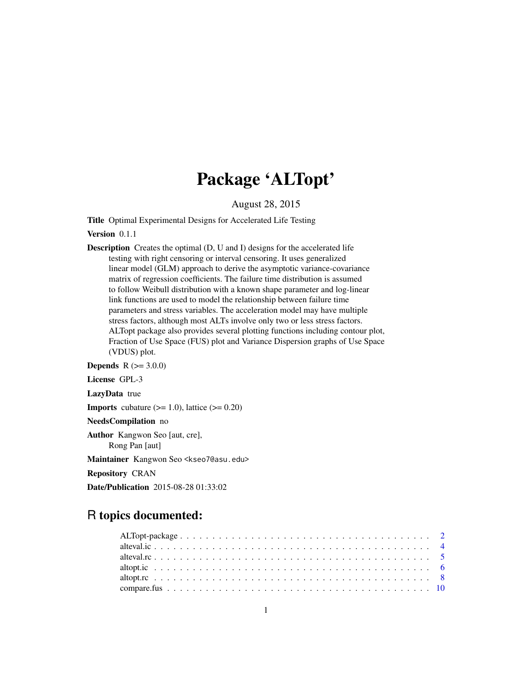## Package 'ALTopt'

August 28, 2015

<span id="page-0-0"></span>Title Optimal Experimental Designs for Accelerated Life Testing

Version 0.1.1

Description Creates the optimal (D, U and I) designs for the accelerated life testing with right censoring or interval censoring. It uses generalized linear model (GLM) approach to derive the asymptotic variance-covariance matrix of regression coefficients. The failure time distribution is assumed to follow Weibull distribution with a known shape parameter and log-linear link functions are used to model the relationship between failure time parameters and stress variables. The acceleration model may have multiple stress factors, although most ALTs involve only two or less stress factors. ALTopt package also provides several plotting functions including contour plot, Fraction of Use Space (FUS) plot and Variance Dispersion graphs of Use Space (VDUS) plot.

**Depends**  $R (= 3.0.0)$ License GPL-3

LazyData true

**Imports** cubature  $(>= 1.0)$ , lattice  $(>= 0.20)$ 

NeedsCompilation no

Author Kangwon Seo [aut, cre], Rong Pan [aut]

Maintainer Kangwon Seo <kseo7@asu.edu>

Repository CRAN

Date/Publication 2015-08-28 01:33:02

## R topics documented: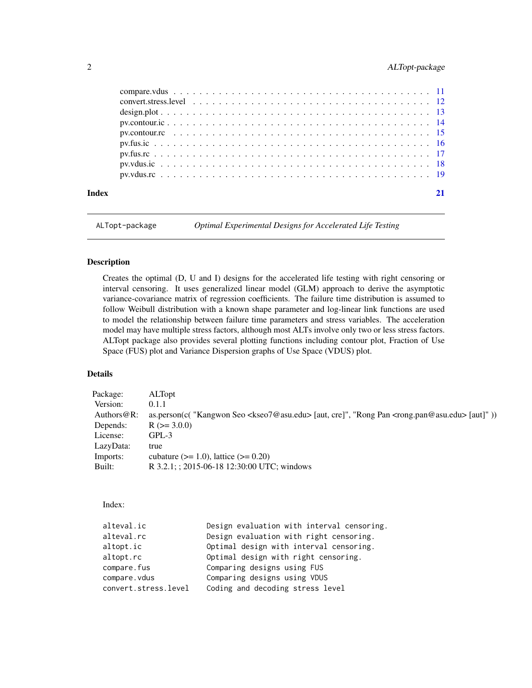## <span id="page-1-0"></span>2 ALTopt-package

| Index |  |
|-------|--|
|       |  |
|       |  |
|       |  |
|       |  |
|       |  |
|       |  |
|       |  |
|       |  |
|       |  |

ALTopt-package *Optimal Experimental Designs for Accelerated Life Testing*

#### Description

Creates the optimal (D, U and I) designs for the accelerated life testing with right censoring or interval censoring. It uses generalized linear model (GLM) approach to derive the asymptotic variance-covariance matrix of regression coefficients. The failure time distribution is assumed to follow Weibull distribution with a known shape parameter and log-linear link functions are used to model the relationship between failure time parameters and stress variables. The acceleration model may have multiple stress factors, although most ALTs involve only two or less stress factors. ALTopt package also provides several plotting functions including contour plot, Fraction of Use Space (FUS) plot and Variance Dispersion graphs of Use Space (VDUS) plot.

## Details

| Package:       | <b>ALTopt</b>                                                                                                                   |
|----------------|---------------------------------------------------------------------------------------------------------------------------------|
| Version:       | 0.1.1                                                                                                                           |
| Authors $@R$ : | as.person(c( "Kangwon Seo <kseo7@asu.edu> [aut, cre]", "Rong Pan <rong.pan@asu.edu> [aut]"))</rong.pan@asu.edu></kseo7@asu.edu> |
| Depends:       | $R$ ( $>=$ 3.0.0)                                                                                                               |
| License:       | $GPL-3$                                                                                                                         |
| LazyData:      | true                                                                                                                            |
| Imports:       | cubature $(>= 1.0)$ , lattice $(>= 0.20)$                                                                                       |
| Built:         | R 3.2.1; ; 2015-06-18 12:30:00 UTC; windows                                                                                     |

#### Index:

| alteval.ic           | Design evaluation with interval censoring. |
|----------------------|--------------------------------------------|
| alteval.rc           | Design evaluation with right censoring.    |
| altopt.ic            | Optimal design with interval censoring.    |
| altopt.rc            | Optimal design with right censoring.       |
| compare.fus          | Comparing designs using FUS                |
| compare.vdus         | Comparing designs using VDUS               |
| convert.stress.level | Coding and decoding stress level           |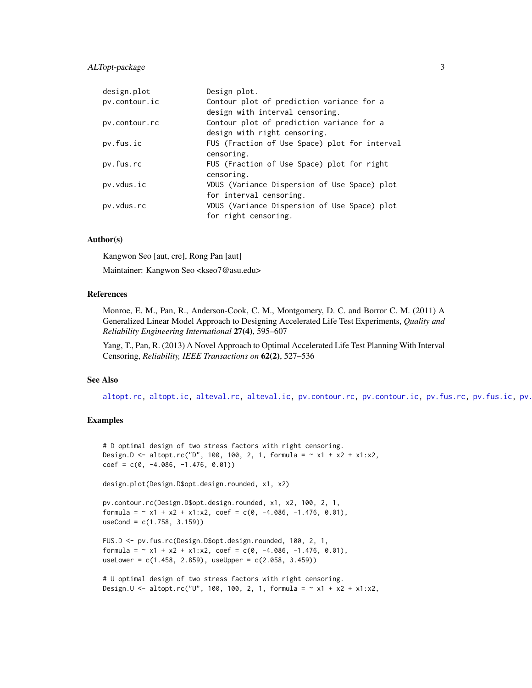## <span id="page-2-0"></span>ALTopt-package 3

| design.plot   | Design plot.                                  |
|---------------|-----------------------------------------------|
| pv.contour.ic | Contour plot of prediction variance for a     |
|               | design with interval censoring.               |
| pv.contour.rc | Contour plot of prediction variance for a     |
|               | design with right censoring.                  |
| pv.fus.ic     | FUS (Fraction of Use Space) plot for interval |
|               | censoring.                                    |
| pv.fus.rc     | FUS (Fraction of Use Space) plot for right    |
|               | censoring.                                    |
| pv.vdus.ic    | VDUS (Variance Dispersion of Use Space) plot  |
|               | for interval censoring.                       |
| pv.vdus.rc    | VDUS (Variance Dispersion of Use Space) plot  |
|               | for right censoring.                          |

#### Author(s)

Kangwon Seo [aut, cre], Rong Pan [aut]

Maintainer: Kangwon Seo <kseo7@asu.edu>

#### References

Monroe, E. M., Pan, R., Anderson-Cook, C. M., Montgomery, D. C. and Borror C. M. (2011) A Generalized Linear Model Approach to Designing Accelerated Life Test Experiments, *Quality and Reliability Engineering International* 27(4), 595–607

Yang, T., Pan, R. (2013) A Novel Approach to Optimal Accelerated Life Test Planning With Interval Censoring, *Reliability, IEEE Transactions on* 62(2), 527–536

#### See Also

[altopt.rc,](#page-7-1) [altopt.ic,](#page-5-1) [alteval.rc,](#page-4-1) [alteval.ic,](#page-3-1) [pv.contour.rc,](#page-14-1) [pv.contour.ic,](#page-13-1) [pv.fus.rc,](#page-16-1) [pv.fus.ic,](#page-15-1) pv.

## Examples

```
# D optimal design of two stress factors with right censoring.
Design.D <- altopt.rc("D", 100, 100, 2, 1, formula = ~ x1 + x2 + x1:x2,
coef = c(0, -4.086, -1.476, 0.01))
```
design.plot(Design.D\$opt.design.rounded, x1, x2)

pv.contour.rc(Design.D\$opt.design.rounded, x1, x2, 100, 2, 1, formula =  $\sim$  x1 + x2 + x1:x2, coef = c(0, -4.086, -1.476, 0.01), useCond = c(1.758, 3.159))

FUS.D <- pv.fus.rc(Design.D\$opt.design.rounded, 100, 2, 1, formula =  $\sim$  x1 + x2 + x1:x2, coef = c(0, -4.086, -1.476, 0.01), useLower =  $c(1.458, 2.859)$ , useUpper =  $c(2.058, 3.459)$ 

```
# U optimal design of two stress factors with right censoring.
Design.U <- altopt.rc("U", 100, 100, 2, 1, formula = \sim x1 + x2 + x1:x2,
```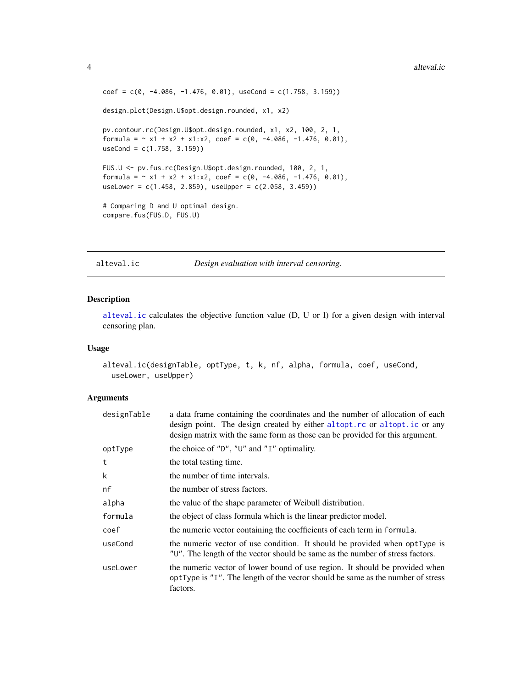```
coef = c(0, -4.086, -1.476, 0.01), useCond = c(1.758, 3.159)design.plot(Design.U$opt.design.rounded, x1, x2)
pv.contour.rc(Design.U$opt.design.rounded, x1, x2, 100, 2, 1,
formula = \sim x1 + x2 + x1:x2, coef = c(0, -4.086, -1.476, 0.01),
useCond = c(1.758, 3.159))
FUS.U <- pv.fus.rc(Design.U$opt.design.rounded, 100, 2, 1,
formula = \sim x1 + x2 + x1:x2, coef = c(0, -4.086, -1.476, 0.01),
useLower = c(1.458, 2.859), useUpper = c(2.058, 3.459))
# Comparing D and U optimal design.
compare.fus(FUS.D, FUS.U)
```
<span id="page-3-1"></span>alteval.ic *Design evaluation with interval censoring.*

## Description

[alteval.ic](#page-3-1) calculates the objective function value (D, U or I) for a given design with interval censoring plan.

#### Usage

```
alteval.ic(designTable, optType, t, k, nf, alpha, formula, coef, useCond,
  useLower, useUpper)
```

| designTable | a data frame containing the coordinates and the number of allocation of each<br>design point. The design created by either altopt.rc or altopt.ic or any<br>design matrix with the same form as those can be provided for this argument. |
|-------------|------------------------------------------------------------------------------------------------------------------------------------------------------------------------------------------------------------------------------------------|
| optType     | the choice of " $D$ ", " $U$ " and " $I$ " optimality.                                                                                                                                                                                   |
| t           | the total testing time.                                                                                                                                                                                                                  |
| k           | the number of time intervals.                                                                                                                                                                                                            |
| nf          | the number of stress factors.                                                                                                                                                                                                            |
| alpha       | the value of the shape parameter of Weibull distribution.                                                                                                                                                                                |
| formula     | the object of class formula which is the linear predictor model.                                                                                                                                                                         |
| coef        | the numeric vector containing the coefficients of each term in formula.                                                                                                                                                                  |
| useCond     | the numeric vector of use condition. It should be provided when optType is<br>"U". The length of the vector should be same as the number of stress factors.                                                                              |
| useLower    | the numeric vector of lower bound of use region. It should be provided when<br>optType is "I". The length of the vector should be same as the number of stress<br>factors.                                                               |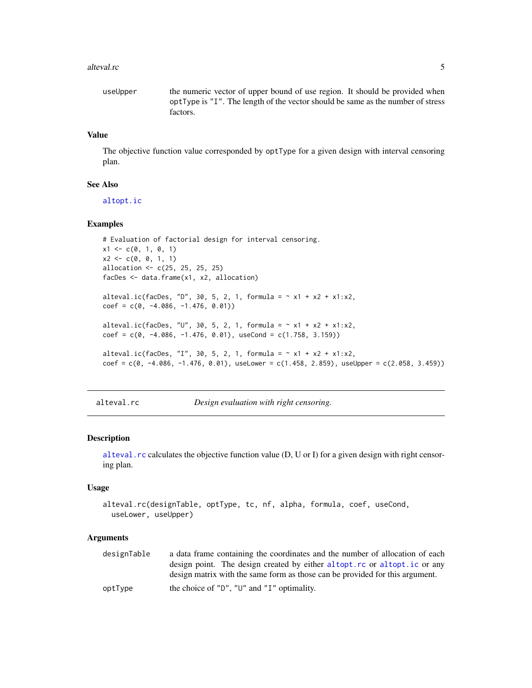#### <span id="page-4-0"></span>alteval.rc 5

```
useUpper the numeric vector of upper bound of use region. It should be provided when
                 optType is "I". The length of the vector should be same as the number of stress
                 factors.
```
#### Value

The objective function value corresponded by optType for a given design with interval censoring plan.

#### See Also

[altopt.ic](#page-5-1)

#### Examples

```
# Evaluation of factorial design for interval censoring.
x1 \leftarrow c(0, 1, 0, 1)x2 \leq -c(0, 0, 1, 1)allocation <- c(25, 25, 25, 25)
facDes <- data.frame(x1, x2, allocation)
alteval.ic(facDes, "D", 30, 5, 2, 1, formula = \sim x1 + x2 + x1 : x2,
coef = c(0, -4.086, -1.476, 0.01))alteval.ic(facDes, "U", 30, 5, 2, 1, formula = <math>\sim x1 + x2 + x1 : x2</math>,coef = c(0, -4.086, -1.476, 0.01), useCond = c(1.758, 3.159))
alteval.ic(facDes, "I", 30, 5, 2, 1, formula = \sim x1 + x2 + x1 : x2,
coef = c(0, -4.086, -1.476, 0.01), useLower = c(1.458, 2.859), useUpper = c(2.058, 3.459))
```
<span id="page-4-1"></span>alteval.rc *Design evaluation with right censoring.*

#### Description

[alteval.rc](#page-4-1) calculates the objective function value (D, U or I) for a given design with right censoring plan.

#### Usage

```
alteval.rc(designTable, optType, tc, nf, alpha, formula, coef, useCond,
 useLower, useUpper)
```

| designTable | a data frame containing the coordinates and the number of allocation of each |
|-------------|------------------------------------------------------------------------------|
|             | design point. The design created by either altopt. rc or altopt. ic or any   |
|             | design matrix with the same form as those can be provided for this argument. |
| optType     | the choice of " $D$ ", " $U$ " and " $I$ " optimality.                       |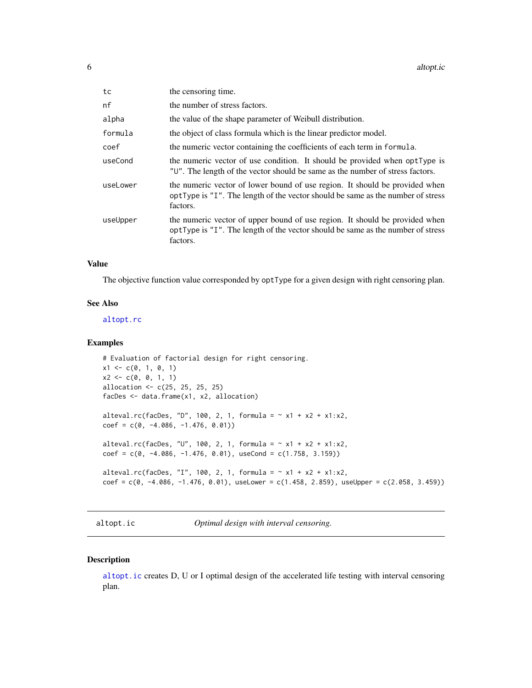<span id="page-5-0"></span>

| tc       | the censoring time.                                                                                                                                                        |
|----------|----------------------------------------------------------------------------------------------------------------------------------------------------------------------------|
| nf       | the number of stress factors.                                                                                                                                              |
| alpha    | the value of the shape parameter of Weibull distribution.                                                                                                                  |
| formula  | the object of class formula which is the linear predictor model.                                                                                                           |
| coef     | the numeric vector containing the coefficients of each term in formula.                                                                                                    |
| useCond  | the numeric vector of use condition. It should be provided when optType is<br>"U". The length of the vector should be same as the number of stress factors.                |
| useLower | the numeric vector of lower bound of use region. It should be provided when<br>optType is "I". The length of the vector should be same as the number of stress<br>factors. |
| useUpper | the numeric vector of upper bound of use region. It should be provided when<br>optType is "I". The length of the vector should be same as the number of stress<br>factors. |

## Value

The objective function value corresponded by optType for a given design with right censoring plan.

## See Also

[altopt.rc](#page-7-1)

#### Examples

```
# Evaluation of factorial design for right censoring.
x1 \leftarrow c(0, 1, 0, 1)x2 \leq c(0, 0, 1, 1)allocation <- c(25, 25, 25, 25)
facDes <- data.frame(x1, x2, allocation)
alteval.rc(facDes, "D", 100, 2, 1, formula = \sim x1 + x2 + x1:x2,
coef = c(0, -4.086, -1.476, 0.01))alteval.rc(facDes, "U", 100, 2, 1, formula = \sim x1 + x2 + x1 : x2,
coef = c(0, -4.086, -1.476, 0.01), useCond = c(1.758, 3.159))
alteval.rc(facDes, "I", 100, 2, 1, formula = \sim x1 + x2 + x1:x2,
coef = c(0, -4.086, -1.476, 0.01), useLower = c(1.458, 2.859), useUpper = c(2.058, 3.459))
```
<span id="page-5-1"></span>altopt.ic *Optimal design with interval censoring.*

## Description

[altopt.ic](#page-5-1) creates D, U or I optimal design of the accelerated life testing with interval censoring plan.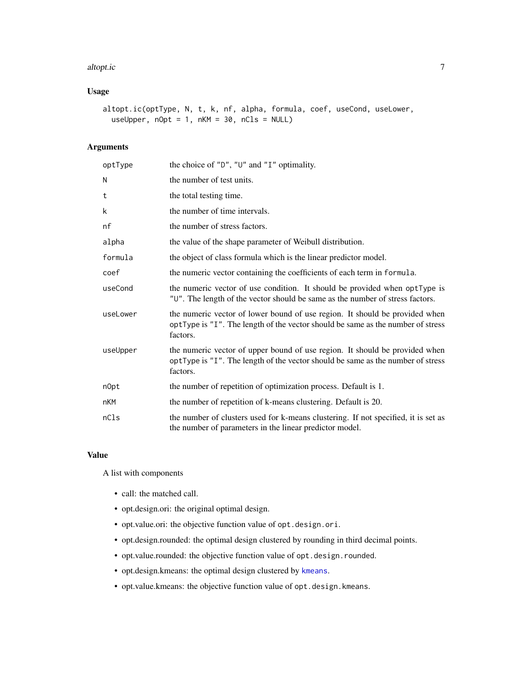#### <span id="page-6-0"></span>altopt.ic 7

## Usage

```
altopt.ic(optType, N, t, k, nf, alpha, formula, coef, useCond, useLower,
  useUpper, nOpt = 1, nKM = 30, nCls = NULL
```
## Arguments

| optType    | the choice of " $D$ ", " $U$ " and " $I$ " optimality.                                                                                                                     |
|------------|----------------------------------------------------------------------------------------------------------------------------------------------------------------------------|
| N          | the number of test units.                                                                                                                                                  |
| t          | the total testing time.                                                                                                                                                    |
| k          | the number of time intervals.                                                                                                                                              |
| nf         | the number of stress factors.                                                                                                                                              |
| alpha      | the value of the shape parameter of Weibull distribution.                                                                                                                  |
| formula    | the object of class formula which is the linear predictor model.                                                                                                           |
| coef       | the numeric vector containing the coefficients of each term in formula.                                                                                                    |
| useCond    | the numeric vector of use condition. It should be provided when optType is<br>"U". The length of the vector should be same as the number of stress factors.                |
| useLower   | the numeric vector of lower bound of use region. It should be provided when<br>optType is "I". The length of the vector should be same as the number of stress<br>factors. |
| useUpper   | the numeric vector of upper bound of use region. It should be provided when<br>optType is "I". The length of the vector should be same as the number of stress<br>factors. |
| n0pt       | the number of repetition of optimization process. Default is 1.                                                                                                            |
| <b>nKM</b> | the number of repetition of k-means clustering. Default is 20.                                                                                                             |
| nCls       | the number of clusters used for k-means clustering. If not specified, it is set as<br>the number of parameters in the linear predictor model.                              |

## Value

A list with components

- call: the matched call.
- opt.design.ori: the original optimal design.
- opt.value.ori: the objective function value of opt.design.ori.
- opt.design.rounded: the optimal design clustered by rounding in third decimal points.
- opt.value.rounded: the objective function value of opt.design.rounded.
- opt.design.kmeans: the optimal design clustered by [kmeans](#page-0-0).
- opt.value.kmeans: the objective function value of opt.design.kmeans.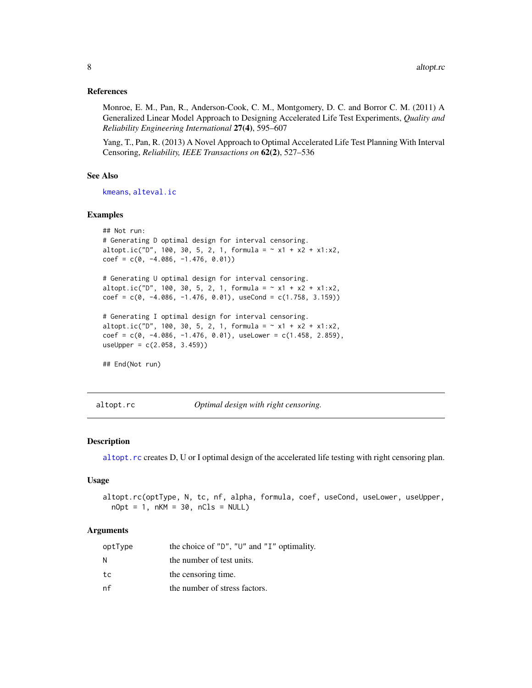#### <span id="page-7-0"></span>References

Monroe, E. M., Pan, R., Anderson-Cook, C. M., Montgomery, D. C. and Borror C. M. (2011) A Generalized Linear Model Approach to Designing Accelerated Life Test Experiments, *Quality and Reliability Engineering International* 27(4), 595–607

Yang, T., Pan, R. (2013) A Novel Approach to Optimal Accelerated Life Test Planning With Interval Censoring, *Reliability, IEEE Transactions on* 62(2), 527–536

#### See Also

[kmeans](#page-0-0), [alteval.ic](#page-3-1)

#### Examples

```
## Not run:
# Generating D optimal design for interval censoring.
altopt.ic("D", 100, 30, 5, 2, 1, formula = \sim x1 + x2 + x1:x2,
coef = c(0, -4.086, -1.476, 0.01))# Generating U optimal design for interval censoring.
altopt.ic("D", 100, 30, 5, 2, 1, formula = \sim x1 + x2 + x1:x2,
coef = c(0, -4.086, -1.476, 0.01), useCond = c(1.758, 3.159))
# Generating I optimal design for interval censoring.
altopt.ic("D", 100, 30, 5, 2, 1, formula = \sim x1 + x2 + x1:x2,
coef = c(0, -4.086, -1.476, 0.01), useLower = c(1.458, 2.859),useUpper = c(2.058, 3.459)## End(Not run)
```
<span id="page-7-1"></span>altopt.rc *Optimal design with right censoring.*

#### Description

[altopt.rc](#page-7-1) creates D, U or I optimal design of the accelerated life testing with right censoring plan.

#### Usage

```
altopt.rc(optType, N, tc, nf, alpha, formula, coef, useCond, useLower, useUpper,
 nOpt = 1, nKM = 30, nCls = NULL
```

| optType | the choice of " $D$ ", " $U$ " and " $I$ " optimality. |
|---------|--------------------------------------------------------|
| N       | the number of test units.                              |
| tc      | the censoring time.                                    |
| nf      | the number of stress factors.                          |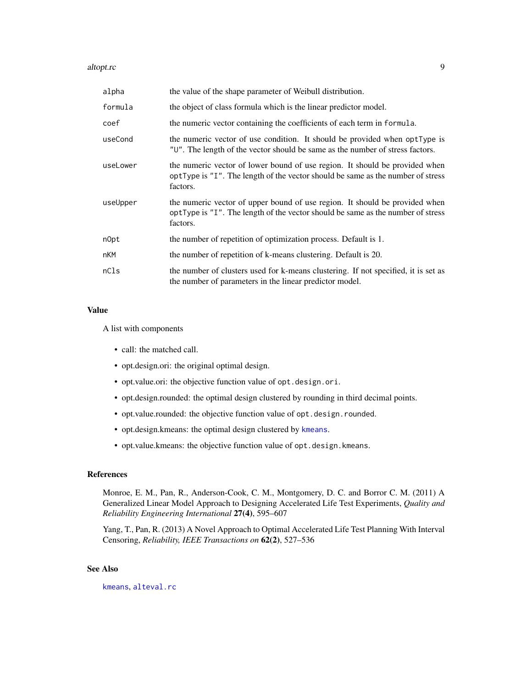#### <span id="page-8-0"></span>altopt.rc 9

| alpha    | the value of the shape parameter of Weibull distribution.                                                                                                                  |
|----------|----------------------------------------------------------------------------------------------------------------------------------------------------------------------------|
| formula  | the object of class formula which is the linear predictor model.                                                                                                           |
| coef     | the numeric vector containing the coefficients of each term in formula.                                                                                                    |
| useCond  | the numeric vector of use condition. It should be provided when optType is<br>"U". The length of the vector should be same as the number of stress factors.                |
| useLower | the numeric vector of lower bound of use region. It should be provided when<br>optType is "I". The length of the vector should be same as the number of stress<br>factors. |
| useUpper | the numeric vector of upper bound of use region. It should be provided when<br>optType is "I". The length of the vector should be same as the number of stress<br>factors. |
| n0pt     | the number of repetition of optimization process. Default is 1.                                                                                                            |
| nKM      | the number of repetition of k-means clustering. Default is 20.                                                                                                             |
| nC1s     | the number of clusters used for k-means clustering. If not specified, it is set as<br>the number of parameters in the linear predictor model.                              |

#### Value

A list with components

- call: the matched call.
- opt.design.ori: the original optimal design.
- opt.value.ori: the objective function value of opt.design.ori.
- opt.design.rounded: the optimal design clustered by rounding in third decimal points.
- opt.value.rounded: the objective function value of opt.design.rounded.
- opt.design.kmeans: the optimal design clustered by [kmeans](#page-0-0).
- opt.value.kmeans: the objective function value of opt.design.kmeans.

## References

Monroe, E. M., Pan, R., Anderson-Cook, C. M., Montgomery, D. C. and Borror C. M. (2011) A Generalized Linear Model Approach to Designing Accelerated Life Test Experiments, *Quality and Reliability Engineering International* 27(4), 595–607

Yang, T., Pan, R. (2013) A Novel Approach to Optimal Accelerated Life Test Planning With Interval Censoring, *Reliability, IEEE Transactions on* 62(2), 527–536

## See Also

[kmeans](#page-0-0), [alteval.rc](#page-4-1)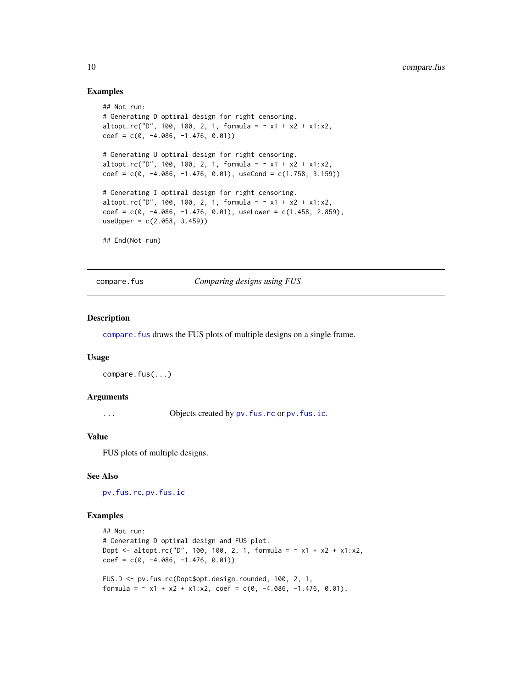### Examples

```
## Not run:
# Generating D optimal design for right censoring.
altopt.rc("D", 100, 100, 2, 1, formula = \sim x1 + x2 + x1:x2,
coef = c(0, -4.086, -1.476, 0.01))# Generating U optimal design for right censoring.
altopt.rc("D", 100, 100, 2, 1, formula = \sim x1 + x2 + x1:x2,
coef = c(0, -4.086, -1.476, 0.01), useCond = c(1.758, 3.159)# Generating I optimal design for right censoring.
altopt.rc("D", 100, 100, 2, 1, formula = \sim x1 + x2 + x1:x2,
coef = c(0, -4.086, -1.476, 0.01), useLower = c(1.458, 2.859),useUpper = c(2.058, 3.459)## End(Not run)
```
<span id="page-9-1"></span>compare.fus *Comparing designs using FUS*

#### Description

[compare.fus](#page-9-1) draws the FUS plots of multiple designs on a single frame.

#### Usage

```
compare.fus(...)
```
#### Arguments

... Objects created by pv. fus.rc or pv. fus.ic.

#### Value

FUS plots of multiple designs.

#### See Also

[pv.fus.rc](#page-16-1), [pv.fus.ic](#page-15-1)

#### Examples

```
## Not run:
# Generating D optimal design and FUS plot.
Dopt <- altopt.rc("D", 100, 100, 2, 1, formula = \sim x1 + x2 + x1:x2,
coef = c(0, -4.086, -1.476, 0.01))FUS.D <- pv.fus.rc(Dopt$opt.design.rounded, 100, 2, 1,
formula = \sim x1 + x2 + x1:x2, coef = c(0, -4.086, -1.476, 0.01),
```
<span id="page-9-0"></span>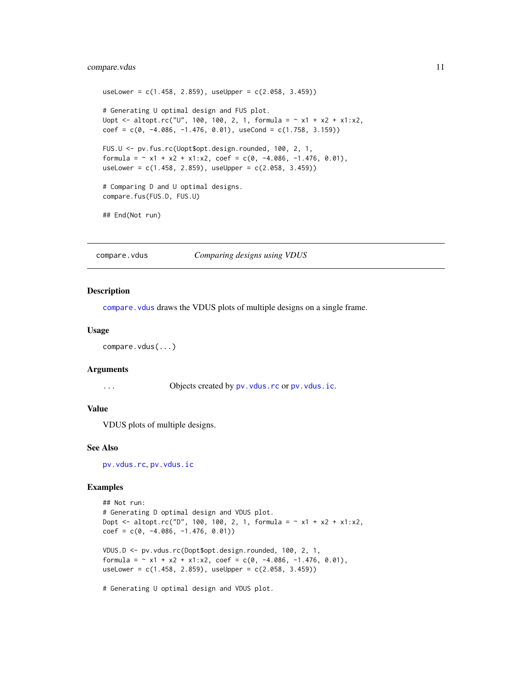## <span id="page-10-0"></span>compare.vdus 11

```
useLower = c(1.458, 2.859), useUpper = c(2.058, 3.459))
# Generating U optimal design and FUS plot.
Uopt <- altopt.rc("U", 100, 100, 2, 1, formula = ~ x1 + x2 + x1:x2,
coef = c(0, -4.086, -1.476, 0.01), useCond = c(1.758, 3.159))FUS.U <- pv.fus.rc(Uopt$opt.design.rounded, 100, 2, 1,
formula = \sim x1 + x2 + x1:x2, coef = c(0, -4.086, -1.476, 0.01),
useLower = c(1.458, 2.859), useUpper = c(2.058, 3.459)# Comparing D and U optimal designs.
compare.fus(FUS.D, FUS.U)
```
## End(Not run)

<span id="page-10-1"></span>compare.vdus *Comparing designs using VDUS*

#### Description

compare. vdus draws the VDUS plots of multiple designs on a single frame.

#### Usage

```
compare.vdus(...)
```
#### Arguments

... Objects created by pv. vdus.rc or pv. vdus.ic.

## Value

VDUS plots of multiple designs.

#### See Also

[pv.vdus.rc](#page-18-1), [pv.vdus.ic](#page-17-1)

## Examples

```
## Not run:
# Generating D optimal design and VDUS plot.
Dopt <- altopt.rc("D", 100, 100, 2, 1, formula = \sim x1 + x2 + x1 : x2,
coef = c(0, -4.086, -1.476, 0.01))VDUS.D <- pv.vdus.rc(Dopt$opt.design.rounded, 100, 2, 1,
formula = \sim x1 + x2 + x1:x2, coef = c(0, -4.086, -1.476, 0.01),
useLower = c(1.458, 2.859), useUpper = c(2.058, 3.459))
```
# Generating U optimal design and VDUS plot.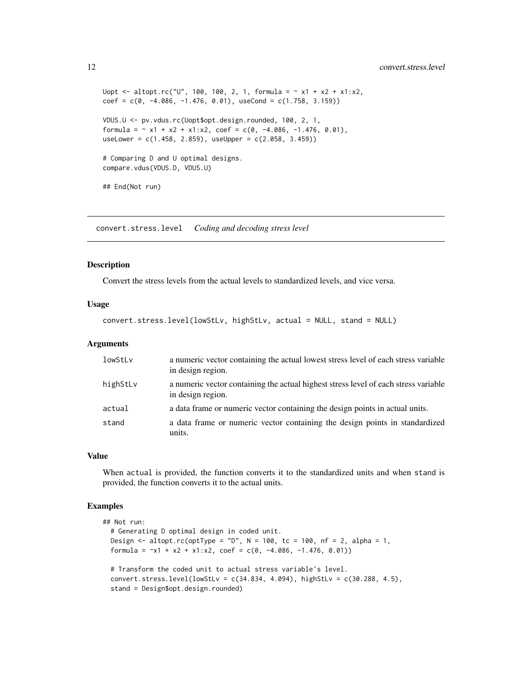```
Uopt <- altopt.rc("U", 100, 100, 2, 1, formula = \sim x1 + x2 + x1 : x2,
coef = c(0, -4.086, -1.476, 0.01), useCond = c(1.758, 3.159))
VDUS.U <- pv.vdus.rc(Uopt$opt.design.rounded, 100, 2, 1,
formula = \sim x1 + x2 + x1:x2, coef = c(0, -4.086, -1.476, 0.01),
useLower = c(1.458, 2.859), useUpper = c(2.058, 3.459))
# Comparing D and U optimal designs.
compare.vdus(VDUS.D, VDUS.U)
## End(Not run)
```
<span id="page-11-1"></span>convert.stress.level *Coding and decoding stress level*

#### Description

Convert the stress levels from the actual levels to standardized levels, and vice versa.

#### Usage

```
convert.stress.level(lowStLv, highStLv, actual = NULL, stand = NULL)
```
#### Arguments

| lowStLv  | a numeric vector containing the actual lowest stress level of each stress variable<br>in design region.  |
|----------|----------------------------------------------------------------------------------------------------------|
| highStLv | a numeric vector containing the actual highest stress level of each stress variable<br>in design region. |
| actual   | a data frame or numeric vector containing the design points in actual units.                             |
| stand    | a data frame or numeric vector containing the design points in standardized<br>units.                    |

#### Value

When actual is provided, the function converts it to the standardized units and when stand is provided, the function converts it to the actual units.

## Examples

```
## Not run:
 # Generating D optimal design in coded unit.
 Design \le altopt.rc(optType = "D", N = 100, tc = 100, nf = 2, alpha = 1,
 formula = -x1 + x2 + x1 : x2, coef = c(0, -4.086, -1.476, 0.01))# Transform the coded unit to actual stress variable's level.
 convert.stress.level(lowStLv = c(34.834, 4.094), highStLv = c(30.288, 4.5),
 stand = Design$opt.design.rounded)
```
<span id="page-11-0"></span>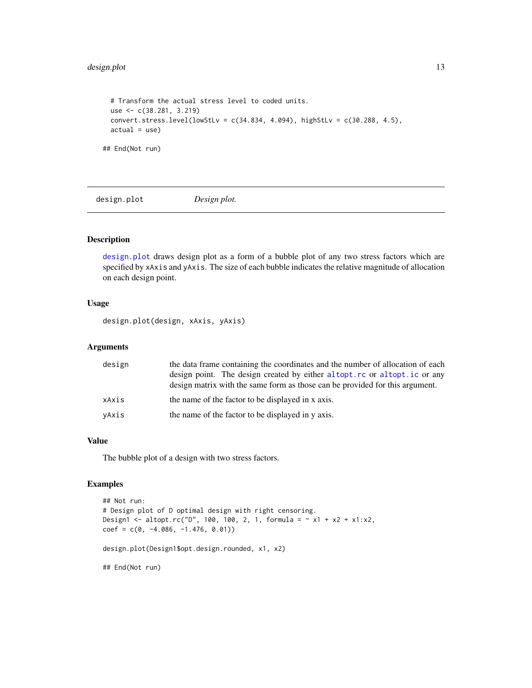## <span id="page-12-0"></span>design.plot 13

```
# Transform the actual stress level to coded units.
 use <- c(38.281, 3.219)
 convert.stress.level(lowStLv = c(34.834, 4.094), highStLv = c(30.288, 4.5),
 actual = use)## End(Not run)
```
<span id="page-12-1"></span>design.plot *Design plot.*

## Description

[design.plot](#page-12-1) draws design plot as a form of a bubble plot of any two stress factors which are specified by xAxis and yAxis. The size of each bubble indicates the relative magnitude of allocation on each design point.

#### Usage

design.plot(design, xAxis, yAxis)

## Arguments

| design | the data frame containing the coordinates and the number of allocation of each<br>design point. The design created by either altopt. rc or altopt. ic or any<br>design matrix with the same form as those can be provided for this argument. |
|--------|----------------------------------------------------------------------------------------------------------------------------------------------------------------------------------------------------------------------------------------------|
| xAxis  | the name of the factor to be displayed in x axis.                                                                                                                                                                                            |
| yAxis  | the name of the factor to be displayed in y axis.                                                                                                                                                                                            |

#### Value

The bubble plot of a design with two stress factors.

## Examples

```
## Not run:
# Design plot of D optimal design with right censoring.
Design1 <- altopt.rc("D", 100, 100, 2, 1, formula = \sim x1 + x2 + x1 : x2,
coef = c(0, -4.086, -1.476, 0.01))design.plot(Design1$opt.design.rounded, x1, x2)
## End(Not run)
```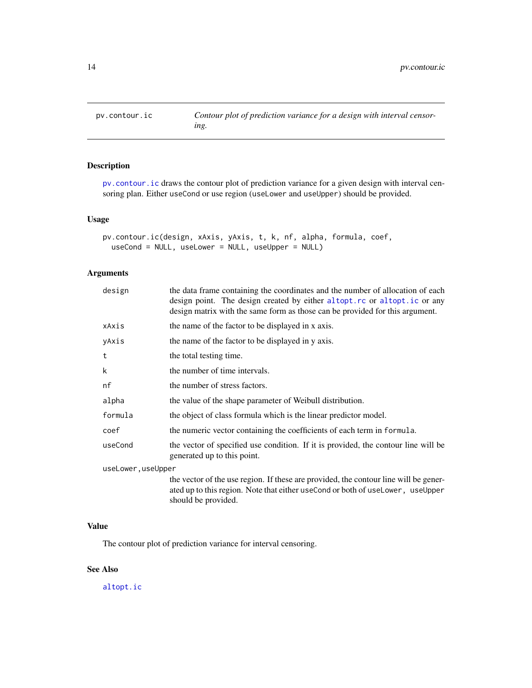<span id="page-13-1"></span><span id="page-13-0"></span>

## Description

[pv.contour.ic](#page-13-1) draws the contour plot of prediction variance for a given design with interval censoring plan. Either useCond or use region (useLower and useUpper) should be provided.

## Usage

```
pv.contour.ic(design, xAxis, yAxis, t, k, nf, alpha, formula, coef,
 useCond = NULL, useLower = NULL, useUpper = NULL)
```
## Arguments

| design            | the data frame containing the coordinates and the number of allocation of each<br>design point. The design created by either altopt.rc or altopt.ic or any<br>design matrix with the same form as those can be provided for this argument. |
|-------------------|--------------------------------------------------------------------------------------------------------------------------------------------------------------------------------------------------------------------------------------------|
| xAxis             | the name of the factor to be displayed in x axis.                                                                                                                                                                                          |
| yAxis             | the name of the factor to be displayed in y axis.                                                                                                                                                                                          |
| t                 | the total testing time.                                                                                                                                                                                                                    |
| k                 | the number of time intervals.                                                                                                                                                                                                              |
| nf                | the number of stress factors.                                                                                                                                                                                                              |
| alpha             | the value of the shape parameter of Weibull distribution.                                                                                                                                                                                  |
| formula           | the object of class formula which is the linear predictor model.                                                                                                                                                                           |
| coef              | the numeric vector containing the coefficients of each term in formula.                                                                                                                                                                    |
| useCond           | the vector of specified use condition. If it is provided, the contour line will be<br>generated up to this point.                                                                                                                          |
| useLower,useUpper |                                                                                                                                                                                                                                            |
|                   | the vector of the use region. If these are provided, the contour line will be gener-<br>ated up to this region. Note that either useCond or both of useLower, useUpper<br>should be provided.                                              |

## Value

The contour plot of prediction variance for interval censoring.

## See Also

[altopt.ic](#page-5-1)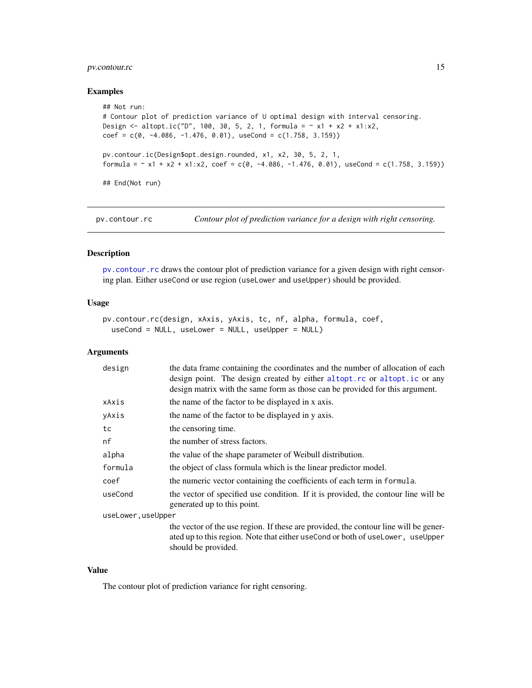## <span id="page-14-0"></span>pv.contour.rc 15

#### Examples

```
## Not run:
# Contour plot of prediction variance of U optimal design with interval censoring.
Design <- altopt.ic("D", 100, 30, 5, 2, 1, formula = \sim x1 + x2 + x1:x2,
coef = c(0, -4.086, -1.476, 0.01), useCond = c(1.758, 3.159))
pv.contour.ic(Design$opt.design.rounded, x1, x2, 30, 5, 2, 1,
formula = \sim x1 + x2 + x1:x2, coef = c(0, -4.086, -1.476, 0.01), useCond = c(1.758, 3.159))
## End(Not run)
```
<span id="page-14-1"></span>pv.contour.rc *Contour plot of prediction variance for a design with right censoring.*

## Description

[pv.contour.rc](#page-14-1) draws the contour plot of prediction variance for a given design with right censoring plan. Either useCond or use region (useLower and useUpper) should be provided.

#### Usage

```
pv.contour.rc(design, xAxis, yAxis, tc, nf, alpha, formula, coef,
  useCond = NULL, useLower = NULL, useUpper = NULL)
```
#### Arguments

| design             | the data frame containing the coordinates and the number of allocation of each<br>design point. The design created by either altopt.rc or altopt.ic or any<br>design matrix with the same form as those can be provided for this argument. |
|--------------------|--------------------------------------------------------------------------------------------------------------------------------------------------------------------------------------------------------------------------------------------|
| xAxis              | the name of the factor to be displayed in x axis.                                                                                                                                                                                          |
| yAxis              | the name of the factor to be displayed in y axis.                                                                                                                                                                                          |
| tc                 | the censoring time.                                                                                                                                                                                                                        |
| nf                 | the number of stress factors.                                                                                                                                                                                                              |
| alpha              | the value of the shape parameter of Weibull distribution.                                                                                                                                                                                  |
| formula            | the object of class formula which is the linear predictor model.                                                                                                                                                                           |
| coef               | the numeric vector containing the coefficients of each term in formula.                                                                                                                                                                    |
| useCond            | the vector of specified use condition. If it is provided, the contour line will be<br>generated up to this point.                                                                                                                          |
| useLower, useUpper |                                                                                                                                                                                                                                            |
|                    | the vector of the use region. If these are provided, the contour line will be gener-<br>ated up to this region. Note that either use Cond or both of use Lower, use Upper<br>should be provided.                                           |

#### Value

The contour plot of prediction variance for right censoring.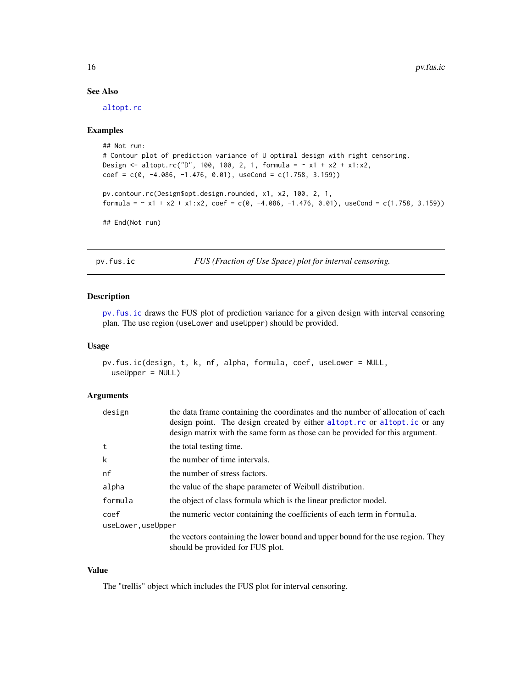## See Also

[altopt.rc](#page-7-1)

#### Examples

```
## Not run:
# Contour plot of prediction variance of U optimal design with right censoring.
Design <- altopt.rc("D", 100, 100, 2, 1, formula = ~ x1 + x2 + x1:x2,
coef = c(0, -4.086, -1.476, 0.01), useCond = c(1.758, 3.159))
pv.contour.rc(Design$opt.design.rounded, x1, x2, 100, 2, 1,
formula = \sim x1 + x2 + x1:x2, coef = c(0, -4.086, -1.476, 0.01), useCond = c(1.758, 3.159))
## End(Not run)
```
<span id="page-15-1"></span>pv.fus.ic *FUS (Fraction of Use Space) plot for interval censoring.*

## Description

[pv.fus.ic](#page-15-1) draws the FUS plot of prediction variance for a given design with interval censoring plan. The use region (useLower and useUpper) should be provided.

#### Usage

```
pv.fus.ic(design, t, k, nf, alpha, formula, coef, useLower = NULL,
 useUpper = NULL)
```
#### Arguments

| design             | the data frame containing the coordinates and the number of allocation of each<br>design point. The design created by either altopt.rc or altopt.ic or any<br>design matrix with the same form as those can be provided for this argument. |
|--------------------|--------------------------------------------------------------------------------------------------------------------------------------------------------------------------------------------------------------------------------------------|
| t                  | the total testing time.                                                                                                                                                                                                                    |
| k                  | the number of time intervals.                                                                                                                                                                                                              |
| nf                 | the number of stress factors.                                                                                                                                                                                                              |
| alpha              | the value of the shape parameter of Weibull distribution.                                                                                                                                                                                  |
| formula            | the object of class formula which is the linear predictor model.                                                                                                                                                                           |
| coef               | the numeric vector containing the coefficients of each term in formula.                                                                                                                                                                    |
| useLower, useUpper |                                                                                                                                                                                                                                            |
|                    | the vectors containing the lower bound and upper bound for the use region. They                                                                                                                                                            |
|                    | should be provided for FUS plot.                                                                                                                                                                                                           |

#### Value

The "trellis" object which includes the FUS plot for interval censoring.

<span id="page-15-0"></span>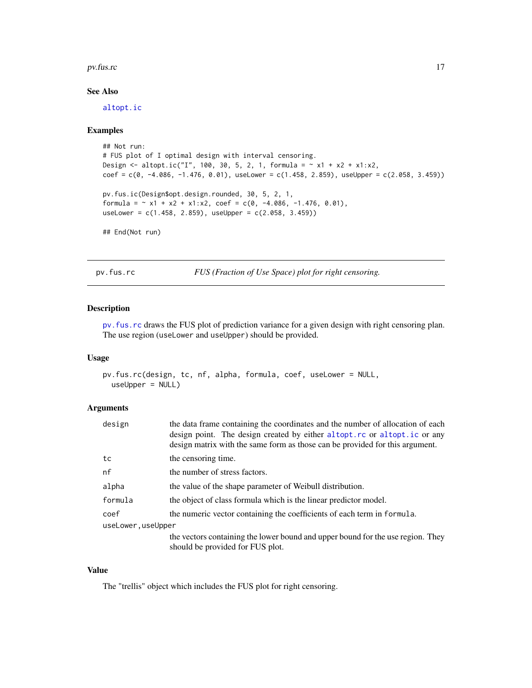#### <span id="page-16-0"></span>pv.fus.rc 17

## See Also

[altopt.ic](#page-5-1)

#### Examples

```
## Not run:
# FUS plot of I optimal design with interval censoring.
Design <- altopt.ic("I", 100, 30, 5, 2, 1, formula = \sim x1 + x2 + x1 : x2,
coef = c(0, -4.086, -1.476, 0.01), useLower = c(1.458, 2.859), useUpper = c(2.058, 3.459)pv.fus.ic(Design$opt.design.rounded, 30, 5, 2, 1,
formula = \sim x1 + x2 + x1:x2, coef = c(0, -4.086, -1.476, 0.01),
useLower = c(1.458, 2.859), useUpper = c(2.058, 3.459))
## End(Not run)
```
<span id="page-16-1"></span>pv.fus.rc *FUS (Fraction of Use Space) plot for right censoring.*

#### Description

[pv.fus.rc](#page-16-1) draws the FUS plot of prediction variance for a given design with right censoring plan. The use region (useLower and useUpper) should be provided.

## Usage

```
pv.fus.rc(design, tc, nf, alpha, formula, coef, useLower = NULL,
 useUpper = NULL)
```
#### Arguments

| design             | the data frame containing the coordinates and the number of allocation of each<br>design point. The design created by either altopt.rc or altopt.ic or any<br>design matrix with the same form as those can be provided for this argument. |
|--------------------|--------------------------------------------------------------------------------------------------------------------------------------------------------------------------------------------------------------------------------------------|
| tc                 | the censoring time.                                                                                                                                                                                                                        |
| nf                 | the number of stress factors.                                                                                                                                                                                                              |
| alpha              | the value of the shape parameter of Weibull distribution.                                                                                                                                                                                  |
| formula            | the object of class formula which is the linear predictor model.                                                                                                                                                                           |
| coef               | the numeric vector containing the coefficients of each term in formula.                                                                                                                                                                    |
| useLower, useUpper |                                                                                                                                                                                                                                            |
|                    | the vectors containing the lower bound and upper bound for the use region. They                                                                                                                                                            |
|                    | should be provided for FUS plot.                                                                                                                                                                                                           |

#### Value

The "trellis" object which includes the FUS plot for right censoring.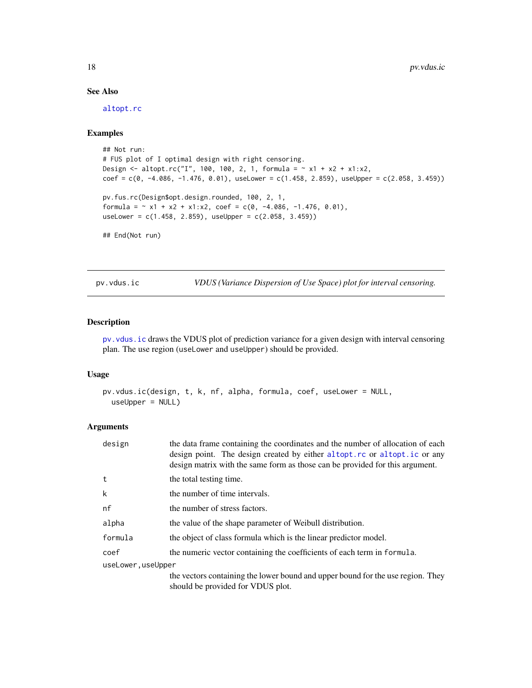## See Also

[altopt.rc](#page-7-1)

## Examples

```
## Not run:
# FUS plot of I optimal design with right censoring.
Design <- altopt.rc("I", 100, 100, 2, 1, formula = \sim x1 + x2 + x1:x2,
coef = c(0, -4.086, -1.476, 0.01), useLower = c(1.458, 2.859), useUpper = c(2.058, 3.459))
pv.fus.rc(Design$opt.design.rounded, 100, 2, 1,
formula = \sim x1 + x2 + x1:x2, coef = c(0, -4.086, -1.476, 0.01),
useLower = c(1.458, 2.859), useUpper = c(2.058, 3.459))
## End(Not run)
```
<span id="page-17-1"></span>pv.vdus.ic *VDUS (Variance Dispersion of Use Space) plot for interval censoring.*

#### Description

[pv.vdus.ic](#page-17-1) draws the VDUS plot of prediction variance for a given design with interval censoring plan. The use region (useLower and useUpper) should be provided.

#### Usage

```
pv.vdus.ic(design, t, k, nf, alpha, formula, coef, useLower = NULL,
  useUpper = NULL)
```

| design            | the data frame containing the coordinates and the number of allocation of each<br>design point. The design created by either altopt.rc or altopt.ic or any<br>design matrix with the same form as those can be provided for this argument. |
|-------------------|--------------------------------------------------------------------------------------------------------------------------------------------------------------------------------------------------------------------------------------------|
| t                 | the total testing time.                                                                                                                                                                                                                    |
| k                 | the number of time intervals.                                                                                                                                                                                                              |
| nf                | the number of stress factors.                                                                                                                                                                                                              |
| alpha             | the value of the shape parameter of Weibull distribution.                                                                                                                                                                                  |
| formula           | the object of class formula which is the linear predictor model.                                                                                                                                                                           |
| coef              | the numeric vector containing the coefficients of each term in formula.                                                                                                                                                                    |
| useLower,useUpper |                                                                                                                                                                                                                                            |
|                   | the vectors containing the lower bound and upper bound for the use region. They<br>should be provided for VDUS plot.                                                                                                                       |

<span id="page-17-0"></span>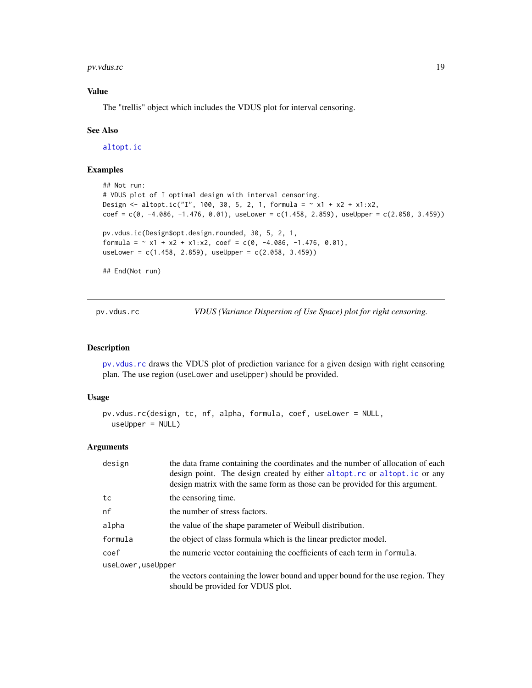<span id="page-18-0"></span>pv.vdus.rc 19

## Value

The "trellis" object which includes the VDUS plot for interval censoring.

#### See Also

[altopt.ic](#page-5-1)

## Examples

```
## Not run:
# VDUS plot of I optimal design with interval censoring.
Design <- altopt.ic("I", 100, 30, 5, 2, 1, formula = \sim x1 + x2 + x1 : x2,
coef = c(0, -4.086, -1.476, 0.01), useLower = c(1.458, 2.859), useUpper = c(2.058, 3.459))pv.vdus.ic(Design$opt.design.rounded, 30, 5, 2, 1,
formula = \sim x1 + x2 + x1:x2, coef = c(0, -4.086, -1.476, 0.01),
useLower = c(1.458, 2.859), useUpper = c(2.058, 3.459))
## End(Not run)
```
<span id="page-18-1"></span>pv.vdus.rc *VDUS (Variance Dispersion of Use Space) plot for right censoring.*

#### Description

[pv.vdus.rc](#page-18-1) draws the VDUS plot of prediction variance for a given design with right censoring plan. The use region (useLower and useUpper) should be provided.

#### Usage

```
pv.vdus.rc(design, tc, nf, alpha, formula, coef, useLower = NULL,
 useUpper = NULL)
```

| design            | the data frame containing the coordinates and the number of allocation of each<br>design point. The design created by either altopt.rc or altopt.ic or any<br>design matrix with the same form as those can be provided for this argument. |
|-------------------|--------------------------------------------------------------------------------------------------------------------------------------------------------------------------------------------------------------------------------------------|
| tc                | the censoring time.                                                                                                                                                                                                                        |
| nf                | the number of stress factors.                                                                                                                                                                                                              |
| alpha             | the value of the shape parameter of Weibull distribution.                                                                                                                                                                                  |
| formula           | the object of class formula which is the linear predictor model.                                                                                                                                                                           |
| coef              | the numeric vector containing the coefficients of each term in formula.                                                                                                                                                                    |
| useLower,useUpper |                                                                                                                                                                                                                                            |
|                   | the vectors containing the lower bound and upper bound for the use region. They<br>should be provided for VDUS plot.                                                                                                                       |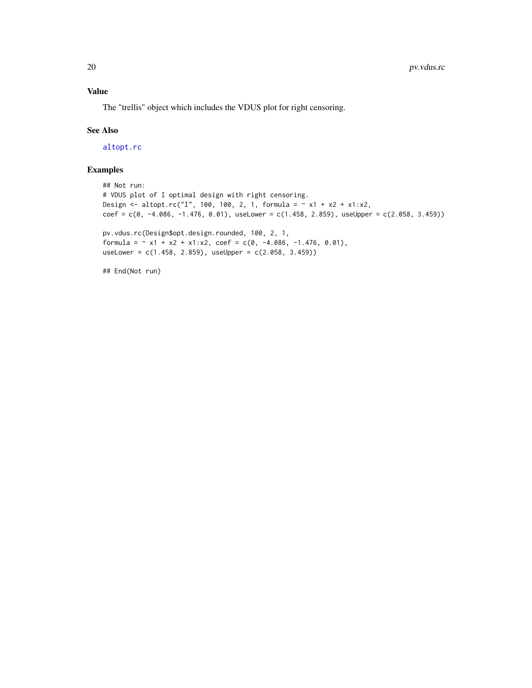## <span id="page-19-0"></span>Value

The "trellis" object which includes the VDUS plot for right censoring.

## See Also

[altopt.rc](#page-7-1)

## Examples

```
## Not run:
# VDUS plot of I optimal design with right censoring.
Design <- altopt.rc("I", 100, 100, 2, 1, formula = \sim x1 + x2 + x1:x2,
coef = c(0, -4.086, -1.476, 0.01), useLower = c(1.458, 2.859), useUpper = c(2.058, 3.459))pv.vdus.rc(Design$opt.design.rounded, 100, 2, 1,
formula = \sim x1 + x2 + x1:x2, coef = c(0, -4.086, -1.476, 0.01),
useLower = c(1.458, 2.859), useUpper = c(2.058, 3.459))
## End(Not run)
```